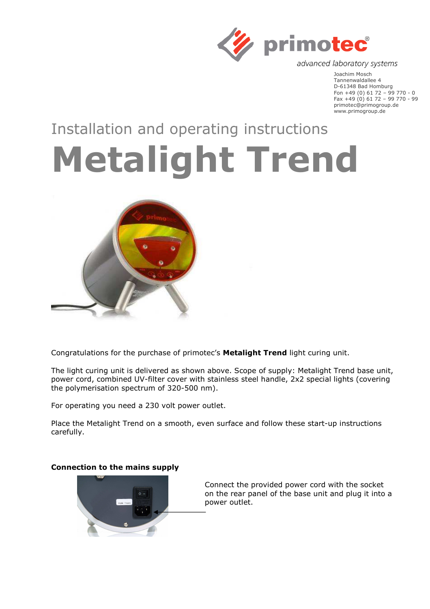

advanced laboratory systems

Joachim Mosch Tannenwaldallee 4 D-61348 Bad Homburg Fon +49 (0) 61 72 – 99 770 - 0 Fax +49 (0) 61 72 – 99 770 - 99 primotec@primogroup.de www.primogroup.de

# Installation and operating instructions

# **Metalight Trend**



Congratulations for the purchase of primotec's **Metalight Trend** light curing unit.

The light curing unit is delivered as shown above. Scope of supply: Metalight Trend base unit, power cord, combined UV-filter cover with stainless steel handle, 2x2 special lights (covering the polymerisation spectrum of 320-500 nm).

For operating you need a 230 volt power outlet.

Place the Metalight Trend on a smooth, even surface and follow these start-up instructions carefully.

## **Connection to the mains supply**



Connect the provided power cord with the socket on the rear panel of the base unit and plug it into a power outlet.